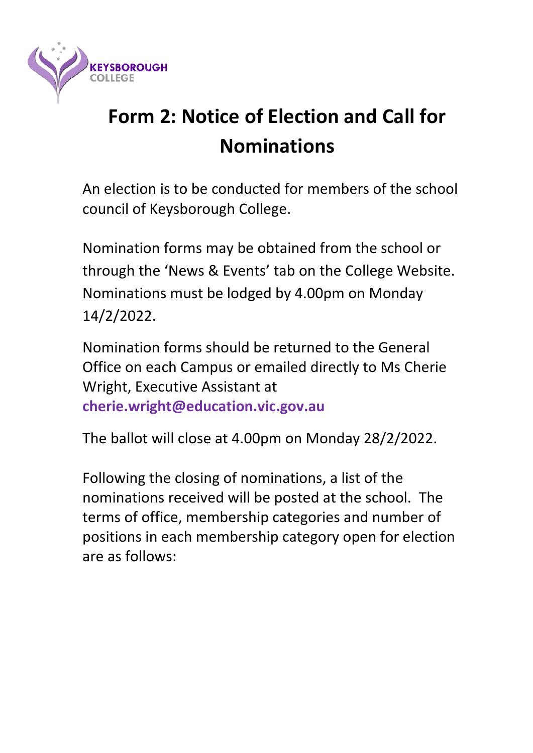

## **Form 2: Notice of Election and Call for Nominations**

An election is to be conducted for members of the school council of Keysborough College.

Nomination forms may be obtained from the school or through the 'News & Events' tab on the College Website. Nominations must be lodged by 4.00pm on Monday 14/2/2022.

Nomination forms should be returned to the General Office on each Campus or emailed directly to Ms Cherie Wright, Executive Assistant at **cherie.wright@education.vic.gov.au**

The ballot will close at 4.00pm on Monday 28/2/2022.

Following the closing of nominations, a list of the nominations received will be posted at the school. The terms of office, membership categories and number of positions in each membership category open for election are as follows: